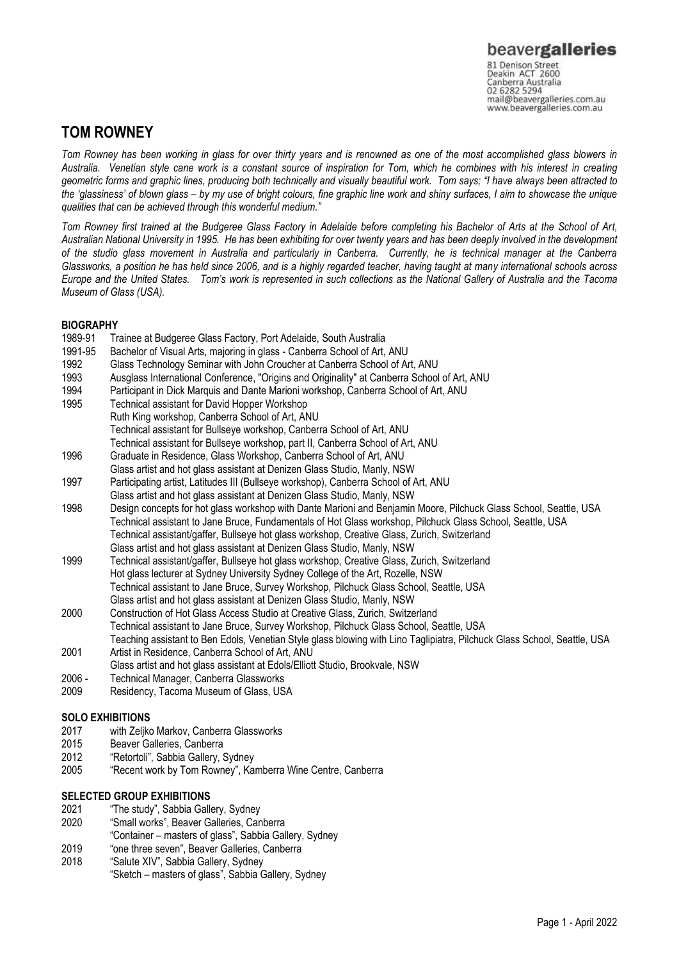## **TOM ROWNEY**

*Tom Rowney has been working in glass for over thirty years and is renowned as one of the most accomplished glass blowers in Australia. Venetian style cane work is a constant source of inspiration for Tom, which he combines with his interest in creating geometric forms and graphic lines, producing both technically and visually beautiful work. Tom says; "I have always been attracted to the 'glassiness' of blown glass – by my use of bright colours, fine graphic line work and shiny surfaces, I aim to showcase the unique qualities that can be achieved through this wonderful medium."* 

*Tom Rowney first trained at the Budgeree Glass Factory in Adelaide before completing his Bachelor of Arts at the School of Art, Australian National University in 1995. He has been exhibiting for over twenty years and has been deeply involved in the development of the studio glass movement in Australia and particularly in Canberra. Currently, he is technical manager at the Canberra Glassworks, a position he has held since 2006, and is a highly regarded teacher, having taught at many international schools across Europe and the United States. Tom's work is represented in such collections as the National Gallery of Australia and the Tacoma Museum of Glass (USA).* 

- **BIOGRAPHY**<br>1989-91 Tr Trainee at Budgeree Glass Factory, Port Adelaide, South Australia 1991-95 Bachelor of Visual Arts, majoring in glass - Canberra School of Art, ANU 1992 Glass Technology Seminar with John Croucher at Canberra School of Art, ANU 1993 Ausglass International Conference, "Origins and Originality" at Canberra School of Art, ANU 1994 Participant in Dick Marquis and Dante Marioni workshop, Canberra School of Art, ANU 1995 Technical assistant for David Hopper Workshop Ruth King workshop, Canberra School of Art, ANU Technical assistant for Bullseye workshop, Canberra School of Art, ANU Technical assistant for Bullseye workshop, part II, Canberra School of Art, ANU 1996 Graduate in Residence, Glass Workshop, Canberra School of Art, ANU Glass artist and hot glass assistant at Denizen Glass Studio, Manly, NSW 1997 Participating artist, Latitudes III (Bullseye workshop), Canberra School of Art, ANU Glass artist and hot glass assistant at Denizen Glass Studio, Manly, NSW 1998 Design concepts for hot glass workshop with Dante Marioni and Benjamin Moore, Pilchuck Glass School, Seattle, USA Technical assistant to Jane Bruce, Fundamentals of Hot Glass workshop, Pilchuck Glass School, Seattle, USA Technical assistant/gaffer, Bullseye hot glass workshop, Creative Glass, Zurich, Switzerland Glass artist and hot glass assistant at Denizen Glass Studio, Manly, NSW 1999 Technical assistant/gaffer, Bullseye hot glass workshop, Creative Glass, Zurich, Switzerland Hot glass lecturer at Sydney University Sydney College of the Art, Rozelle, NSW Technical assistant to Jane Bruce, Survey Workshop, Pilchuck Glass School, Seattle, USA Glass artist and hot glass assistant at Denizen Glass Studio, Manly, NSW
- 2000 Construction of Hot Glass Access Studio at Creative Glass, Zurich, Switzerland Technical assistant to Jane Bruce, Survey Workshop, Pilchuck Glass School, Seattle, USA Teaching assistant to Ben Edols, Venetian Style glass blowing with Lino Taglipiatra, Pilchuck Glass School, Seattle, USA
- 2001 Artist in Residence, Canberra School of Art, ANU
- Glass artist and hot glass assistant at Edols/Elliott Studio, Brookvale, NSW
- 2006 Technical Manager, Canberra Glassworks
- 2009 Residency, Tacoma Museum of Glass, USA

### **SOLO EXHIBITIONS**

- 2017 with Zeljko Markov, Canberra Glassworks
- Beaver Galleries, Canberra
- 2012 "Retortoli", Sabbia Gallery, Sydney
- 2005 "Recent work by Tom Rowney", Kamberra Wine Centre, Canberra

#### **SELECTED GROUP EXHIBITIONS**

- 2021 "The study", Sabbia Gallery, Sydney
- 2020 "Small works", Beaver Galleries, Canberra
- "Container masters of glass", Sabbia Gallery, Sydney
- 2019 "one three seven", Beaver Galleries, Canberra
- 2018 "Salute XIV", Sabbia Gallery, Sydney
	- "Sketch masters of glass", Sabbia Gallery, Sydney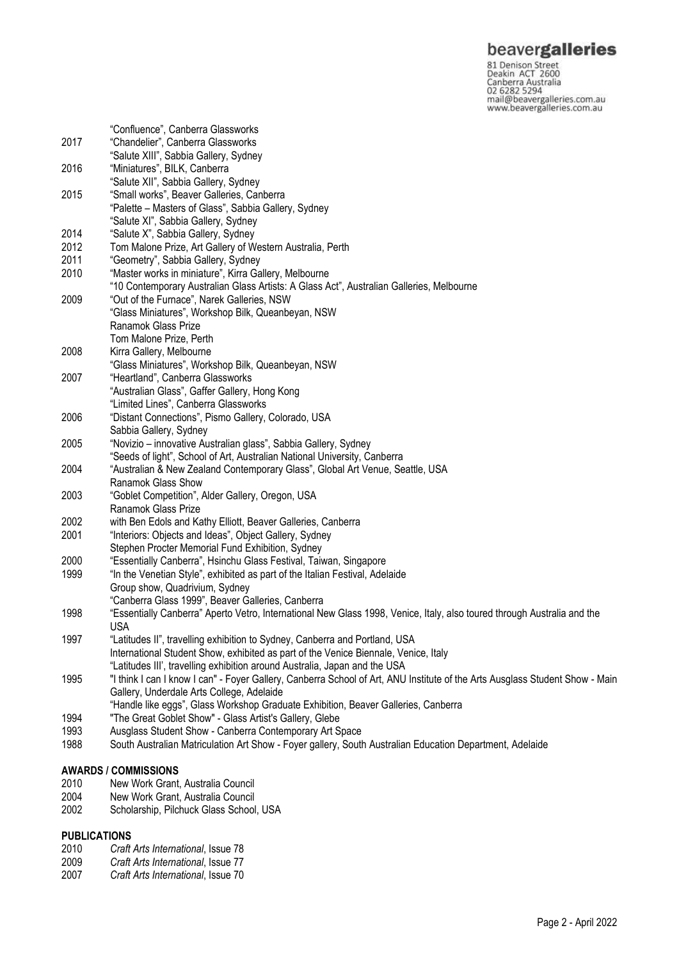**beavergalleries**<br> **S1 Denison Street**<br>
Deakin ACT 2600<br>
Canberra Australia<br>
02 6282 5294<br>
mail@beavergalleries.com.au<br>
www.beavergalleries.com.au

|                             | "Confluence", Canberra Glassworks                                                                                            |
|-----------------------------|------------------------------------------------------------------------------------------------------------------------------|
| 2017                        | "Chandelier", Canberra Glassworks                                                                                            |
|                             | "Salute XIII", Sabbia Gallery, Sydney                                                                                        |
| 2016                        | "Miniatures", BILK, Canberra                                                                                                 |
|                             | "Salute XII", Sabbia Gallery, Sydney                                                                                         |
| 2015                        | "Small works", Beaver Galleries, Canberra                                                                                    |
|                             | "Palette - Masters of Glass", Sabbia Gallery, Sydney                                                                         |
|                             | "Salute XI", Sabbia Gallery, Sydney                                                                                          |
| 2014                        | "Salute X", Sabbia Gallery, Sydney                                                                                           |
| 2012                        | Tom Malone Prize, Art Gallery of Western Australia, Perth                                                                    |
| 2011                        | "Geometry", Sabbia Gallery, Sydney                                                                                           |
| 2010                        | "Master works in miniature", Kirra Gallery, Melbourne                                                                        |
|                             | "10 Contemporary Australian Glass Artists: A Glass Act", Australian Galleries, Melbourne                                     |
| 2009                        | "Out of the Furnace", Narek Galleries, NSW                                                                                   |
|                             | "Glass Miniatures", Workshop Bilk, Queanbeyan, NSW                                                                           |
|                             | Ranamok Glass Prize                                                                                                          |
|                             | Tom Malone Prize, Perth                                                                                                      |
| 2008                        | Kirra Gallery, Melbourne                                                                                                     |
|                             | "Glass Miniatures", Workshop Bilk, Queanbeyan, NSW                                                                           |
| 2007                        | "Heartland", Canberra Glassworks                                                                                             |
|                             | "Australian Glass", Gaffer Gallery, Hong Kong                                                                                |
|                             | "Limited Lines", Canberra Glassworks                                                                                         |
| 2006                        | "Distant Connections", Pismo Gallery, Colorado, USA                                                                          |
|                             | Sabbia Gallery, Sydney                                                                                                       |
| 2005                        | "Novizio – innovative Australian glass", Sabbia Gallery, Sydney                                                              |
|                             | "Seeds of light", School of Art, Australian National University, Canberra                                                    |
| 2004                        | "Australian & New Zealand Contemporary Glass", Global Art Venue, Seattle, USA                                                |
|                             | Ranamok Glass Show                                                                                                           |
| 2003                        | "Goblet Competition", Alder Gallery, Oregon, USA<br>Ranamok Glass Prize                                                      |
|                             |                                                                                                                              |
| 2002<br>2001                | with Ben Edols and Kathy Elliott, Beaver Galleries, Canberra                                                                 |
|                             | "Interiors: Objects and Ideas", Object Gallery, Sydney<br>Stephen Procter Memorial Fund Exhibition, Sydney                   |
| 2000                        | "Essentially Canberra", Hsinchu Glass Festival, Taiwan, Singapore                                                            |
| 1999                        | "In the Venetian Style", exhibited as part of the Italian Festival, Adelaide                                                 |
|                             | Group show, Quadrivium, Sydney                                                                                               |
|                             | "Canberra Glass 1999", Beaver Galleries, Canberra                                                                            |
| 1998                        | "Essentially Canberra" Aperto Vetro, International New Glass 1998, Venice, Italy, also toured through Australia and the      |
|                             | <b>USA</b>                                                                                                                   |
| 1997                        | "Latitudes II", travelling exhibition to Sydney, Canberra and Portland, USA                                                  |
|                             | International Student Show, exhibited as part of the Venice Biennale, Venice, Italy                                          |
|                             | "Latitudes III', travelling exhibition around Australia, Japan and the USA                                                   |
| 1995                        | "I think I can I know I can" - Foyer Gallery, Canberra School of Art, ANU Institute of the Arts Ausglass Student Show - Main |
|                             | Gallery, Underdale Arts College, Adelaide                                                                                    |
|                             | "Handle like eggs", Glass Workshop Graduate Exhibition, Beaver Galleries, Canberra                                           |
| 1994                        | "The Great Goblet Show" - Glass Artist's Gallery, Glebe                                                                      |
| 1993                        | Ausglass Student Show - Canberra Contemporary Art Space                                                                      |
| 1988                        | South Australian Matriculation Art Show - Foyer gallery, South Australian Education Department, Adelaide                     |
|                             |                                                                                                                              |
| <b>AWARDS / COMMISSIONS</b> |                                                                                                                              |

- 2010 New Work Grant, Australia Council
- 2004 New Work Grant, Australia Council
- 2002 Scholarship, Pilchuck Glass School, USA

# **PUBLICATIONS**<br>2010 *Craft*

- 2010 *Craft Arts International*, Issue 78
- 2009 *Craft Arts International*, Issue 77
- 2007 *Craft Arts International*, Issue 70